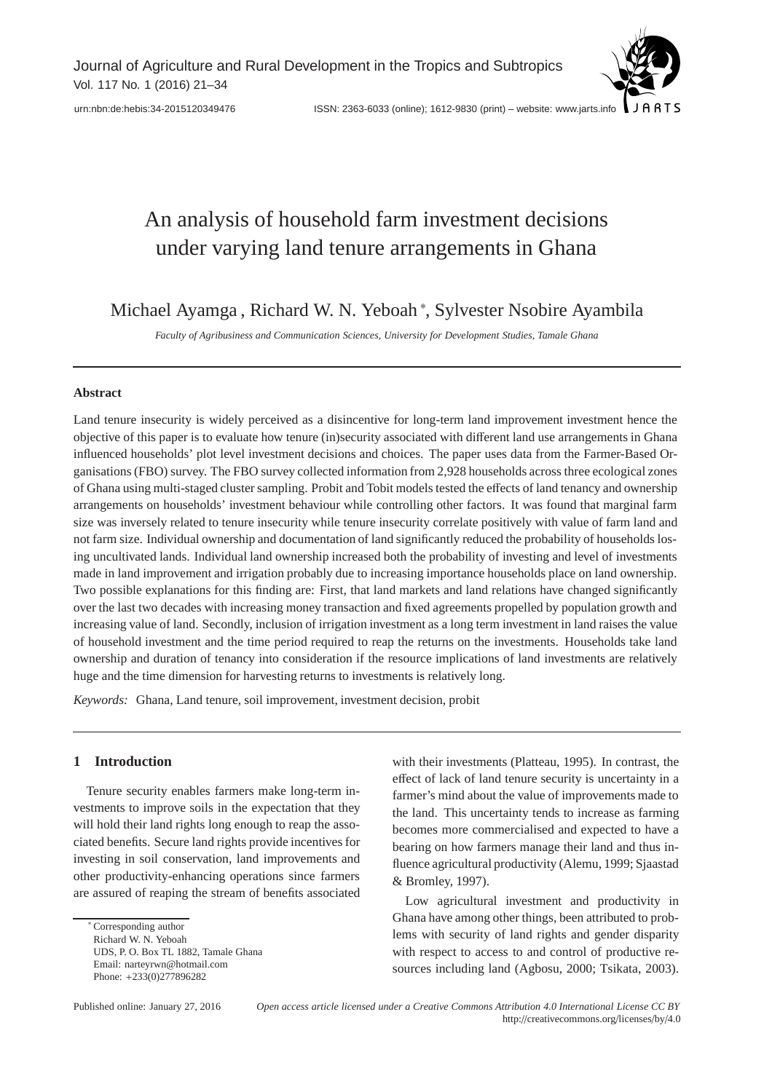Journal of Agriculture and Rural Development in the Tropics and Subtropics Vol. 117 No. 1 (2016) 21–34



# An analysis of household farm investment decisions under varying land tenure arrangements in Ghana

Michael Ayamga , Richard W. N. Yeboah <sup>∗</sup> , Sylvester Nsobire Ayambila

*Faculty of Agribusiness and Communication Sciences, University for Development Studies, Tamale Ghana*

#### **Abstract**

Land tenure insecurity is widely perceived as a disincentive for long-term land improvement investment hence the objective of this paper is to evaluate how tenure (in)security associated with different land use arrangements in Ghana influenced households' plot level investment decisions and choices. The paper uses data from the Farmer-Based Organisations (FBO) survey. The FBO survey collected information from 2,928 households across three ecological zones of Ghana using multi-staged cluster sampling. Probit and Tobit models tested the effects of land tenancy and ownership arrangements on households' investment behaviour while controlling other factors. It was found that marginal farm size was inversely related to tenure insecurity while tenure insecurity correlate positively with value of farm land and not farm size. Individual ownership and documentation of land significantly reduced the probability of households losing uncultivated lands. Individual land ownership increased both the probability of investing and level of investments made in land improvement and irrigation probably due to increasing importance households place on land ownership. Two possible explanations for this finding are: First, that land markets and land relations have changed significantly over the last two decades with increasing money transaction and fixed agreements propelled by population growth and increasing value of land. Secondly, inclusion of irrigation investment as a long term investment in land raises the value of household investment and the time period required to reap the returns on the investments. Households take land ownership and duration of tenancy into consideration if the resource implications of land investments are relatively huge and the time dimension for harvesting returns to investments is relatively long.

*Keywords:* Ghana, Land tenure, soil improvement, investment decision, probit

# **1 Introduction**

Tenure security enables farmers make long-term investments to improve soils in the expectation that they will hold their land rights long enough to reap the associated benefits. Secure land rights provide incentives for investing in soil conservation, land improvements and other productivity-enhancing operations since farmers are assured of reaping the stream of benefits associated

with their investments (Platteau, 1995). In contrast, the effect of lack of land tenure security is uncertainty in a farmer's mind about the value of improvements made to the land. This uncertainty tends to increase as farming becomes more commercialised and expected to have a bearing on how farmers manage their land and thus influence agricultural productivity (Alemu, 1999; Sjaastad & Bromley, 1997).

Low agricultural investment and productivity in Ghana have among other things, been attributed to problems with security of land rights and gender disparity with respect to access to and control of productive resources including land (Agbosu, 2000; Tsikata, 2003).

<sup>∗</sup> Corresponding author Richard W. N. Yeboah UDS, P. O. Box TL 1882, Tamale Ghana Email: narteyrwn@hotmail.com Phone: +233(0)277896282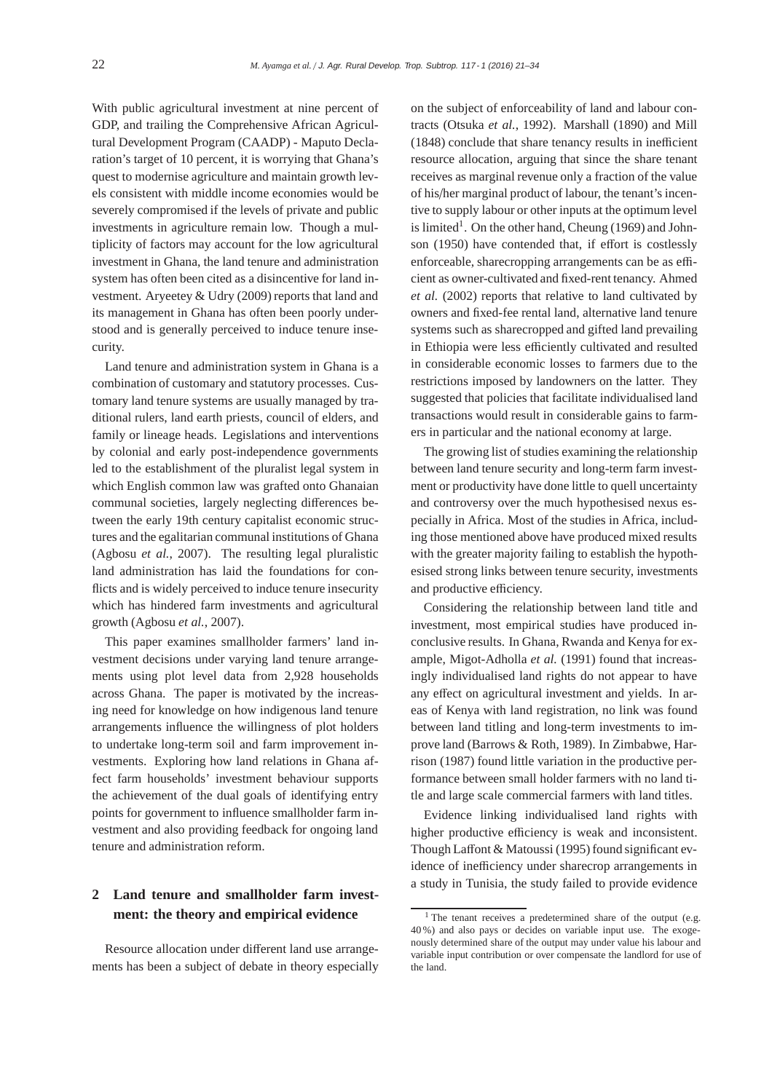With public agricultural investment at nine percent of GDP, and trailing the Comprehensive African Agricultural Development Program (CAADP) - Maputo Declaration's target of 10 percent, it is worrying that Ghana's quest to modernise agriculture and maintain growth levels consistent with middle income economies would be severely compromised if the levels of private and public investments in agriculture remain low. Though a multiplicity of factors may account for the low agricultural investment in Ghana, the land tenure and administration system has often been cited as a disincentive for land investment. Aryeetey & Udry (2009) reports that land and its management in Ghana has often been poorly understood and is generally perceived to induce tenure insecurity.

Land tenure and administration system in Ghana is a combination of customary and statutory processes. Customary land tenure systems are usually managed by traditional rulers, land earth priests, council of elders, and family or lineage heads. Legislations and interventions by colonial and early post-independence governments led to the establishment of the pluralist legal system in which English common law was grafted onto Ghanaian communal societies, largely neglecting differences between the early 19th century capitalist economic structures and the egalitarian communal institutions of Ghana (Agbosu *et al.*, 2007). The resulting legal pluralistic land administration has laid the foundations for conflicts and is widely perceived to induce tenure insecurity which has hindered farm investments and agricultural growth (Agbosu *et al.*, 2007).

This paper examines smallholder farmers' land investment decisions under varying land tenure arrangements using plot level data from 2,928 households across Ghana. The paper is motivated by the increasing need for knowledge on how indigenous land tenure arrangements influence the willingness of plot holders to undertake long-term soil and farm improvement investments. Exploring how land relations in Ghana affect farm households' investment behaviour supports the achievement of the dual goals of identifying entry points for government to influence smallholder farm investment and also providing feedback for ongoing land tenure and administration reform.

# **2 Land tenure and smallholder farm investment: the theory and empirical evidence**

Resource allocation under different land use arrangements has been a subject of debate in theory especially

on the subject of enforceability of land and labour contracts (Otsuka *et al.*, 1992). Marshall (1890) and Mill (1848) conclude that share tenancy results in inefficient resource allocation, arguing that since the share tenant receives as marginal revenue only a fraction of the value of his/her marginal product of labour, the tenant's incentive to supply labour or other inputs at the optimum level is limited<sup>1</sup>. On the other hand, Cheung (1969) and Johnson (1950) have contended that, if effort is costlessly enforceable, sharecropping arrangements can be as efficient as owner-cultivated and fixed-rent tenancy. Ahmed *et al.* (2002) reports that relative to land cultivated by owners and fixed-fee rental land, alternative land tenure systems such as sharecropped and gifted land prevailing in Ethiopia were less efficiently cultivated and resulted in considerable economic losses to farmers due to the restrictions imposed by landowners on the latter. They suggested that policies that facilitate individualised land transactions would result in considerable gains to farmers in particular and the national economy at large.

The growing list of studies examining the relationship between land tenure security and long-term farm investment or productivity have done little to quell uncertainty and controversy over the much hypothesised nexus especially in Africa. Most of the studies in Africa, including those mentioned above have produced mixed results with the greater majority failing to establish the hypothesised strong links between tenure security, investments and productive efficiency.

Considering the relationship between land title and investment, most empirical studies have produced inconclusive results. In Ghana, Rwanda and Kenya for example, Migot-Adholla *et al.* (1991) found that increasingly individualised land rights do not appear to have any effect on agricultural investment and yields. In areas of Kenya with land registration, no link was found between land titling and long-term investments to improve land (Barrows & Roth, 1989). In Zimbabwe, Harrison (1987) found little variation in the productive performance between small holder farmers with no land title and large scale commercial farmers with land titles.

Evidence linking individualised land rights with higher productive efficiency is weak and inconsistent. Though Laffont & Matoussi (1995) found significant evidence of inefficiency under sharecrop arrangements in a study in Tunisia, the study failed to provide evidence

<sup>&</sup>lt;sup>1</sup> The tenant receives a predetermined share of the output (e.g. 40 %) and also pays or decides on variable input use. The exogenously determined share of the output may under value his labour and variable input contribution or over compensate the landlord for use of the land.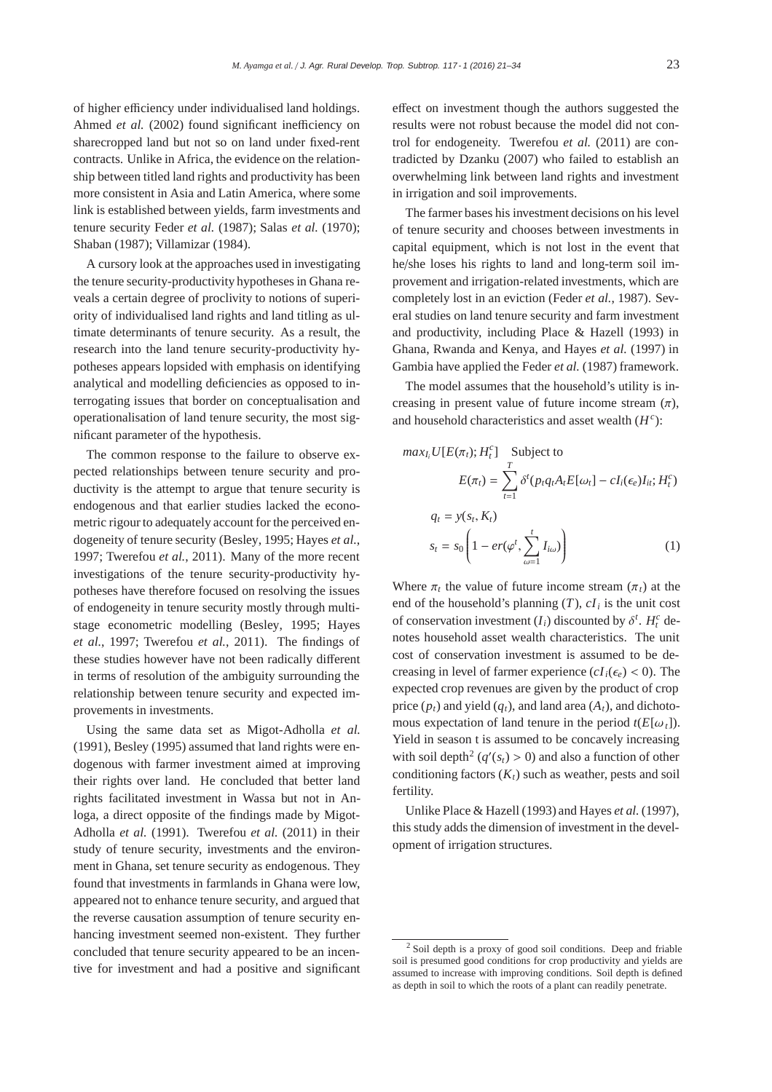of higher efficiency under individualised land holdings. Ahmed *et al.* (2002) found significant inefficiency on sharecropped land but not so on land under fixed-rent contracts. Unlike in Africa, the evidence on the relationship between titled land rights and productivity has been more consistent in Asia and Latin America, where some link is established between yields, farm investments and tenure security Feder *et al.* (1987); Salas *et al.* (1970); Shaban (1987); Villamizar (1984).

A cursory look at the approaches used in investigating the tenure security-productivity hypotheses in Ghana reveals a certain degree of proclivity to notions of superiority of individualised land rights and land titling as ultimate determinants of tenure security. As a result, the research into the land tenure security-productivity hypotheses appears lopsided with emphasis on identifying analytical and modelling deficiencies as opposed to interrogating issues that border on conceptualisation and operationalisation of land tenure security, the most significant parameter of the hypothesis.

The common response to the failure to observe expected relationships between tenure security and productivity is the attempt to argue that tenure security is endogenous and that earlier studies lacked the econometric rigour to adequately account for the perceived endogeneity of tenure security (Besley, 1995; Hayes *et al.*, 1997; Twerefou *et al.*, 2011). Many of the more recent investigations of the tenure security-productivity hypotheses have therefore focused on resolving the issues of endogeneity in tenure security mostly through multistage econometric modelling (Besley, 1995; Hayes *et al.*, 1997; Twerefou *et al.*, 2011). The findings of these studies however have not been radically different in terms of resolution of the ambiguity surrounding the relationship between tenure security and expected improvements in investments.

Using the same data set as Migot-Adholla *et al.* (1991), Besley (1995) assumed that land rights were endogenous with farmer investment aimed at improving their rights over land. He concluded that better land rights facilitated investment in Wassa but not in Anloga, a direct opposite of the findings made by Migot-Adholla *et al.* (1991). Twerefou *et al.* (2011) in their study of tenure security, investments and the environment in Ghana, set tenure security as endogenous. They found that investments in farmlands in Ghana were low, appeared not to enhance tenure security, and argued that the reverse causation assumption of tenure security enhancing investment seemed non-existent. They further concluded that tenure security appeared to be an incentive for investment and had a positive and significant

effect on investment though the authors suggested the results were not robust because the model did not control for endogeneity. Twerefou *et al.* (2011) are contradicted by Dzanku (2007) who failed to establish an overwhelming link between land rights and investment in irrigation and soil improvements.

The farmer bases his investment decisions on his level of tenure security and chooses between investments in capital equipment, which is not lost in the event that he/she loses his rights to land and long-term soil improvement and irrigation-related investments, which are completely lost in an eviction (Feder *et al.*, 1987). Several studies on land tenure security and farm investment and productivity, including Place & Hazell (1993) in Ghana, Rwanda and Kenya, and Hayes *et al.* (1997) in Gambia have applied the Feder *et al.* (1987) framework.

The model assumes that the household's utility is increasing in present value of future income stream  $(\pi)$ , and household characteristics and asset wealth (*H<sup>c</sup>* ):

$$
max_{I_i} U[E(\pi_t); H_t^c]
$$
Subject to  
\n
$$
E(\pi_t) = \sum_{t=1}^T \delta^t (p_t q_t A_t E[\omega_t] - c I_i(\epsilon_e) I_{it}; H_t^c)
$$
  
\n
$$
q_t = y(s_t, K_t)
$$
  
\n
$$
s_t = s_0 \left(1 - er(\varphi^t, \sum_{\omega=1}^t I_{i\omega})\right)
$$
 (1)

Where  $\pi_t$  the value of future income stream  $(\pi_t)$  at the end of the household's planning  $(T)$ ,  $cI_i$  is the unit cost of conservation investment  $(I_i)$  discounted by  $\delta^t$ .  $H_i^c$  denotes household asset wealth characteristics. The unit cost of conservation investment is assumed to be decreasing in level of farmer experience  $(cI_i(\epsilon_e) < 0)$ . The expected crop revenues are given by the product of crop price  $(p_t)$  and yield  $(q_t)$ , and land area  $(A_t)$ , and dichotomous expectation of land tenure in the period  $t(E[\omega_t])$ . Yield in season t is assumed to be concavely increasing with soil depth<sup>2</sup> ( $q'(s_t) > 0$ ) and also a function of other conditioning factors  $(K_t)$  such as weather, pests and soil fertility.

Unlike Place & Hazell (1993) and Hayes *et al.* (1997), this study adds the dimension of investment in the development of irrigation structures.

<sup>2</sup> Soil depth is a proxy of good soil conditions. Deep and friable soil is presumed good conditions for crop productivity and yields are assumed to increase with improving conditions. Soil depth is defined as depth in soil to which the roots of a plant can readily penetrate.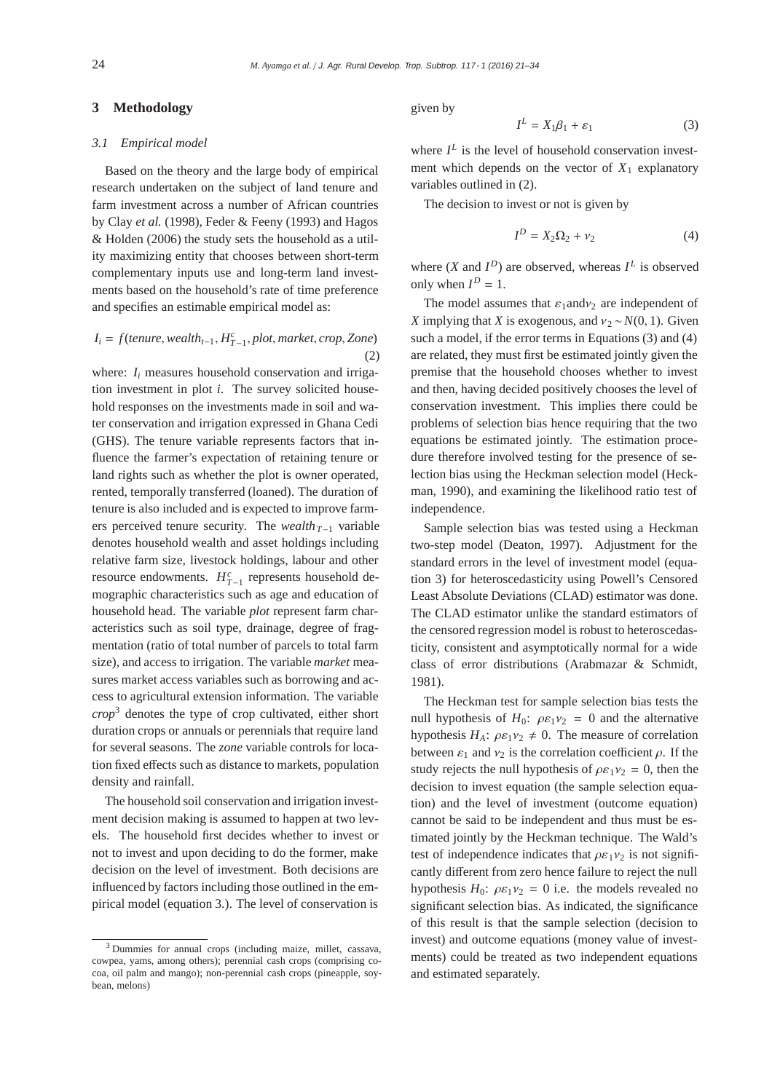#### **3 Methodology**

#### *3.1 Empirical model*

Based on the theory and the large body of empirical research undertaken on the subject of land tenure and farm investment across a number of African countries by Clay *et al.* (1998), Feder & Feeny (1993) and Hagos & Holden (2006) the study sets the household as a utility maximizing entity that chooses between short-term complementary inputs use and long-term land investments based on the household's rate of time preference and specifies an estimable empirical model as:

## $I_i = f(t$ *enure*, *wealth*<sub> $t-1$ </sub>,  $H_{T-1}^c$ , *plot*, *market*, *crop*, *Zone*) (2)

where:  $I_i$  measures household conservation and irrigation investment in plot *i*. The survey solicited household responses on the investments made in soil and water conservation and irrigation expressed in Ghana Cedi (GHS). The tenure variable represents factors that influence the farmer's expectation of retaining tenure or land rights such as whether the plot is owner operated, rented, temporally transferred (loaned). The duration of tenure is also included and is expected to improve farmers perceived tenure security. The *wealth*<sub>*T*−1</sub> variable denotes household wealth and asset holdings including relative farm size, livestock holdings, labour and other resource endowments.  $H_{T-1}^c$  represents household demographic characteristics such as age and education of household head. The variable *plot* represent farm characteristics such as soil type, drainage, degree of fragmentation (ratio of total number of parcels to total farm size), and access to irrigation. The variable *market* measures market access variables such as borrowing and access to agricultural extension information. The variable *crop*<sup>3</sup> denotes the type of crop cultivated, either short duration crops or annuals or perennials that require land for several seasons. The *zone* variable controls for location fixed effects such as distance to markets, population density and rainfall.

The household soil conservation and irrigation investment decision making is assumed to happen at two levels. The household first decides whether to invest or not to invest and upon deciding to do the former, make decision on the level of investment. Both decisions are influenced by factors including those outlined in the empirical model (equation 3.). The level of conservation is given by

$$
I^L = X_1 \beta_1 + \varepsilon_1 \tag{3}
$$

where  $I^L$  is the level of household conservation investment which depends on the vector of  $X_1$  explanatory variables outlined in (2).

The decision to invest or not is given by

$$
I^D = X_2 \Omega_2 + \nu_2 \tag{4}
$$

where  $(X \text{ and } I^D)$  are observed, whereas  $I^L$  is observed only when  $I^D = 1$ .

The model assumes that  $\varepsilon_1$  and  $v_2$  are independent of *X* implying that *X* is exogenous, and  $v_2 \sim N(0, 1)$ . Given such a model, if the error terms in Equations (3) and (4) are related, they must first be estimated jointly given the premise that the household chooses whether to invest and then, having decided positively chooses the level of conservation investment. This implies there could be problems of selection bias hence requiring that the two equations be estimated jointly. The estimation procedure therefore involved testing for the presence of selection bias using the Heckman selection model (Heckman, 1990), and examining the likelihood ratio test of independence.

Sample selection bias was tested using a Heckman two-step model (Deaton, 1997). Adjustment for the standard errors in the level of investment model (equation 3) for heteroscedasticity using Powell's Censored Least Absolute Deviations (CLAD) estimator was done. The CLAD estimator unlike the standard estimators of the censored regression model is robust to heteroscedasticity, consistent and asymptotically normal for a wide class of error distributions (Arabmazar & Schmidt, 1981).

The Heckman test for sample selection bias tests the null hypothesis of  $H_0$ :  $\rho \varepsilon_1 v_2 = 0$  and the alternative hypothesis  $H_A$ :  $\rho \varepsilon_1 \nu_2 \neq 0$ . The measure of correlation between  $\varepsilon_1$  and  $v_2$  is the correlation coefficient  $\rho$ . If the study rejects the null hypothesis of  $\rho \varepsilon_1 v_2 = 0$ , then the decision to invest equation (the sample selection equation) and the level of investment (outcome equation) cannot be said to be independent and thus must be estimated jointly by the Heckman technique. The Wald's test of independence indicates that  $\rho \varepsilon_1 \nu_2$  is not significantly different from zero hence failure to reject the null hypothesis  $H_0$ :  $\rho \varepsilon_1 \nu_2 = 0$  i.e. the models revealed no significant selection bias. As indicated, the significance of this result is that the sample selection (decision to invest) and outcome equations (money value of investments) could be treated as two independent equations and estimated separately.

<sup>&</sup>lt;sup>3</sup> Dummies for annual crops (including maize, millet, cassava, cowpea, yams, among others); perennial cash crops (comprising cocoa, oil palm and mango); non-perennial cash crops (pineapple, soybean, melons)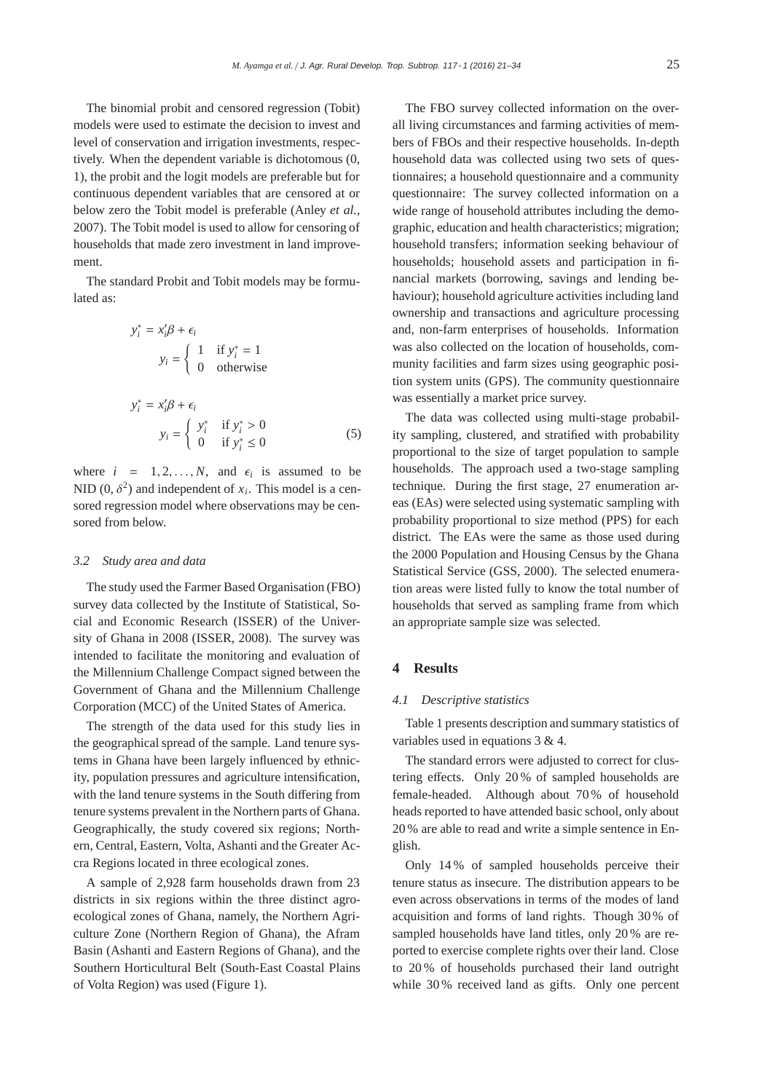The binomial probit and censored regression (Tobit) models were used to estimate the decision to invest and level of conservation and irrigation investments, respectively. When the dependent variable is dichotomous (0, 1), the probit and the logit models are preferable but for continuous dependent variables that are censored at or below zero the Tobit model is preferable (Anley *et al.*, 2007). The Tobit model is used to allow for censoring of households that made zero investment in land improvement.

The standard Probit and Tobit models may be formulated as:

$$
y_i^* = x_i'\beta + \epsilon_i
$$
  
\n
$$
y_i = \begin{cases} 1 & \text{if } y_i^* = 1 \\ 0 & \text{otherwise} \end{cases}
$$
  
\n
$$
y_i^* = x_i'\beta + \epsilon_i
$$
  
\n
$$
y_i = \begin{cases} y_i^* & \text{if } y_i^* > 0 \\ 0 & \text{if } y_i^* \le 0 \end{cases}
$$
 (5)

where  $i = 1, 2, ..., N$ , and  $\epsilon_i$  is assumed to be NID  $(0, \delta^2)$  and independent of  $x_i$ . This model is a censored regression model where observations may be censored from below.

#### *3.2 Study area and data*

The study used the Farmer Based Organisation (FBO) survey data collected by the Institute of Statistical, Social and Economic Research (ISSER) of the University of Ghana in 2008 (ISSER, 2008). The survey was intended to facilitate the monitoring and evaluation of the Millennium Challenge Compact signed between the Government of Ghana and the Millennium Challenge Corporation (MCC) of the United States of America.

The strength of the data used for this study lies in the geographical spread of the sample. Land tenure systems in Ghana have been largely influenced by ethnicity, population pressures and agriculture intensification, with the land tenure systems in the South differing from tenure systems prevalent in the Northern parts of Ghana. Geographically, the study covered six regions; Northern, Central, Eastern, Volta, Ashanti and the Greater Accra Regions located in three ecological zones.

A sample of 2,928 farm households drawn from 23 districts in six regions within the three distinct agroecological zones of Ghana, namely, the Northern Agriculture Zone (Northern Region of Ghana), the Afram Basin (Ashanti and Eastern Regions of Ghana), and the Southern Horticultural Belt (South-East Coastal Plains of Volta Region) was used (Figure 1).

The FBO survey collected information on the overall living circumstances and farming activities of members of FBOs and their respective households. In-depth household data was collected using two sets of questionnaires; a household questionnaire and a community questionnaire: The survey collected information on a wide range of household attributes including the demographic, education and health characteristics; migration; household transfers; information seeking behaviour of households; household assets and participation in financial markets (borrowing, savings and lending behaviour); household agriculture activities including land ownership and transactions and agriculture processing and, non-farm enterprises of households. Information was also collected on the location of households, community facilities and farm sizes using geographic position system units (GPS). The community questionnaire was essentially a market price survey.

The data was collected using multi-stage probability sampling, clustered, and stratified with probability proportional to the size of target population to sample households. The approach used a two-stage sampling technique. During the first stage, 27 enumeration areas (EAs) were selected using systematic sampling with probability proportional to size method (PPS) for each district. The EAs were the same as those used during the 2000 Population and Housing Census by the Ghana Statistical Service (GSS, 2000). The selected enumeration areas were listed fully to know the total number of households that served as sampling frame from which an appropriate sample size was selected.

#### **4 Results**

#### *4.1 Descriptive statistics*

Table 1 presents description and summary statistics of variables used in equations 3 & 4.

The standard errors were adjusted to correct for clustering effects. Only 20 % of sampled households are female-headed. Although about 70 % of household heads reported to have attended basic school, only about 20 % are able to read and write a simple sentence in English.

Only 14 % of sampled households perceive their tenure status as insecure. The distribution appears to be even across observations in terms of the modes of land acquisition and forms of land rights. Though 30 % of sampled households have land titles, only 20 % are reported to exercise complete rights over their land. Close to 20 % of households purchased their land outright while 30% received land as gifts. Only one percent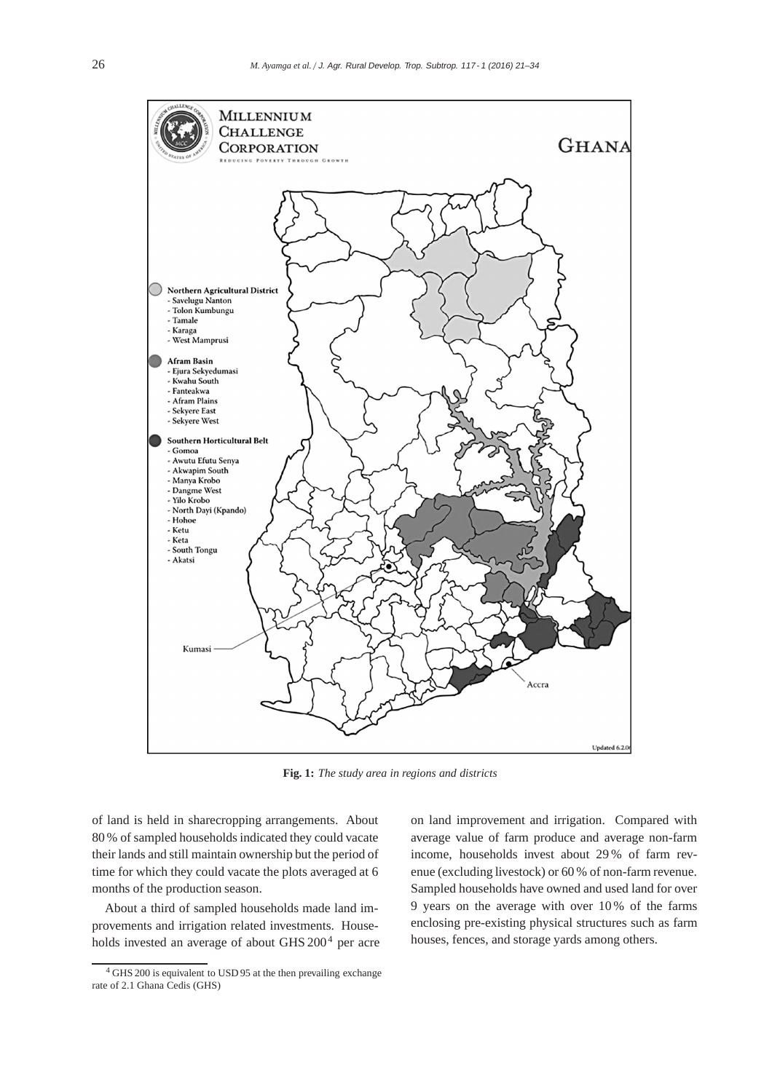

**Fig. 1:** *The study area in regions and districts*

of land is held in sharecropping arrangements. About 80 % of sampled households indicated they could vacate their lands and still maintain ownership but the period of time for which they could vacate the plots averaged at 6 months of the production season.

About a third of sampled households made land improvements and irrigation related investments. Households invested an average of about GHS 200<sup>4</sup> per acre on land improvement and irrigation. Compared with average value of farm produce and average non-farm income, households invest about 29 % of farm revenue (excluding livestock) or 60 % of non-farm revenue. Sampled households have owned and used land for over 9 years on the average with over 10 % of the farms enclosing pre-existing physical structures such as farm houses, fences, and storage yards among others.

<sup>4</sup> GHS 200 is equivalent to USD 95 at the then prevailing exchange rate of 2.1 Ghana Cedis (GHS)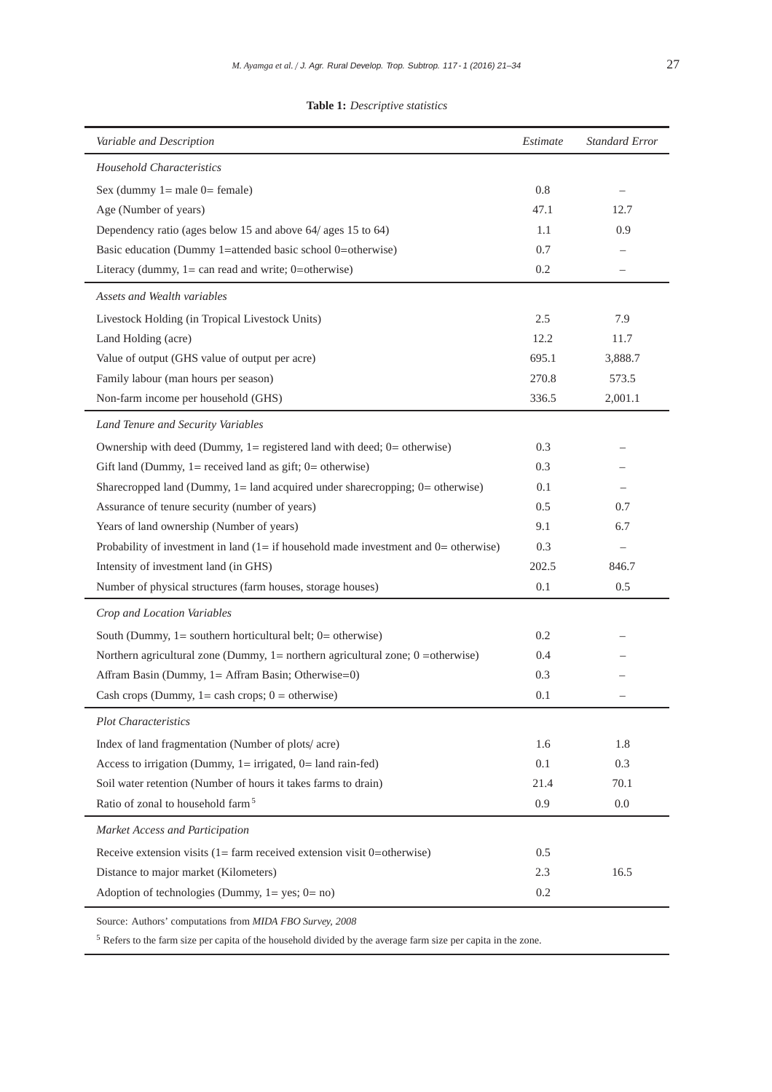#### **Table 1:** *Descriptive statistics*

| Variable and Description                                                                    | Estimate | <b>Standard Error</b> |
|---------------------------------------------------------------------------------------------|----------|-----------------------|
| <b>Household Characteristics</b>                                                            |          |                       |
| Sex (dummy $1 =$ male $0 =$ female)                                                         | 0.8      |                       |
| Age (Number of years)                                                                       | 47.1     | 12.7                  |
| Dependency ratio (ages below 15 and above 64/ ages 15 to 64)                                | 1.1      | 0.9                   |
| Basic education (Dummy 1=attended basic school 0=otherwise)                                 | 0.7      |                       |
| Literacy (dummy, $1 = \text{can read}$ and write; 0=otherwise)                              | 0.2      |                       |
| Assets and Wealth variables                                                                 |          |                       |
| Livestock Holding (in Tropical Livestock Units)                                             | 2.5      | 7.9                   |
| Land Holding (acre)                                                                         | 12.2     | 11.7                  |
| Value of output (GHS value of output per acre)                                              | 695.1    | 3,888.7               |
| Family labour (man hours per season)                                                        | 270.8    | 573.5                 |
| Non-farm income per household (GHS)                                                         | 336.5    | 2,001.1               |
| Land Tenure and Security Variables                                                          |          |                       |
| Ownership with deed (Dummy, $1 =$ registered land with deed; $0 =$ otherwise)               | 0.3      |                       |
| Gift land (Dummy, $1 =$ received land as gift; $0 =$ otherwise)                             | 0.3      |                       |
| Sharecropped land (Dummy, 1= land acquired under sharecropping; 0= otherwise)               | 0.1      |                       |
| Assurance of tenure security (number of years)                                              | 0.5      | 0.7                   |
| Years of land ownership (Number of years)                                                   | 9.1      | 6.7                   |
| Probability of investment in land $(1 = if$ household made investment and $0 =$ otherwise)  | 0.3      |                       |
| Intensity of investment land (in GHS)                                                       | 202.5    | 846.7                 |
| Number of physical structures (farm houses, storage houses)                                 | 0.1      | 0.5                   |
| Crop and Location Variables                                                                 |          |                       |
| South (Dummy, $1 =$ southern horticultural belt; $0 =$ otherwise)                           | 0.2      |                       |
| Northern agricultural zone (Dummy, $1 =$ northern agricultural zone; $0 =$ otherwise)       | 0.4      |                       |
| Affram Basin (Dummy, 1= Affram Basin; Otherwise=0)                                          | 0.3      |                       |
| Cash crops (Dummy, $1 =$ cash crops; $0 =$ otherwise)                                       | 0.1      |                       |
| <b>Plot Characteristics</b>                                                                 |          |                       |
| Index of land fragmentation (Number of plots/ acre)                                         | 1.6      | 1.8                   |
| Access to irrigation (Dummy, $1 =$ irrigated, $0 =$ land rain-fed)                          | 0.1      | 0.3                   |
| Soil water retention (Number of hours it takes farms to drain)                              | 21.4     | 70.1                  |
| Ratio of zonal to household farm <sup>5</sup>                                               | 0.9      | 0.0                   |
| Market Access and Participation                                                             |          |                       |
| Receive extension visits $(1 = \text{farm received extension visit } 0 = \text{otherwise})$ | 0.5      |                       |
| Distance to major market (Kilometers)                                                       | 2.3      | 16.5                  |
| Adoption of technologies (Dummy, $1 = yes$ ; $0 = no$ )                                     | 0.2      |                       |
| Source: Authors' computations from MIDA FBO Survey, 2008                                    |          |                       |

<sup>5</sup> Refers to the farm size per capita of the household divided by the average farm size per capita in the zone.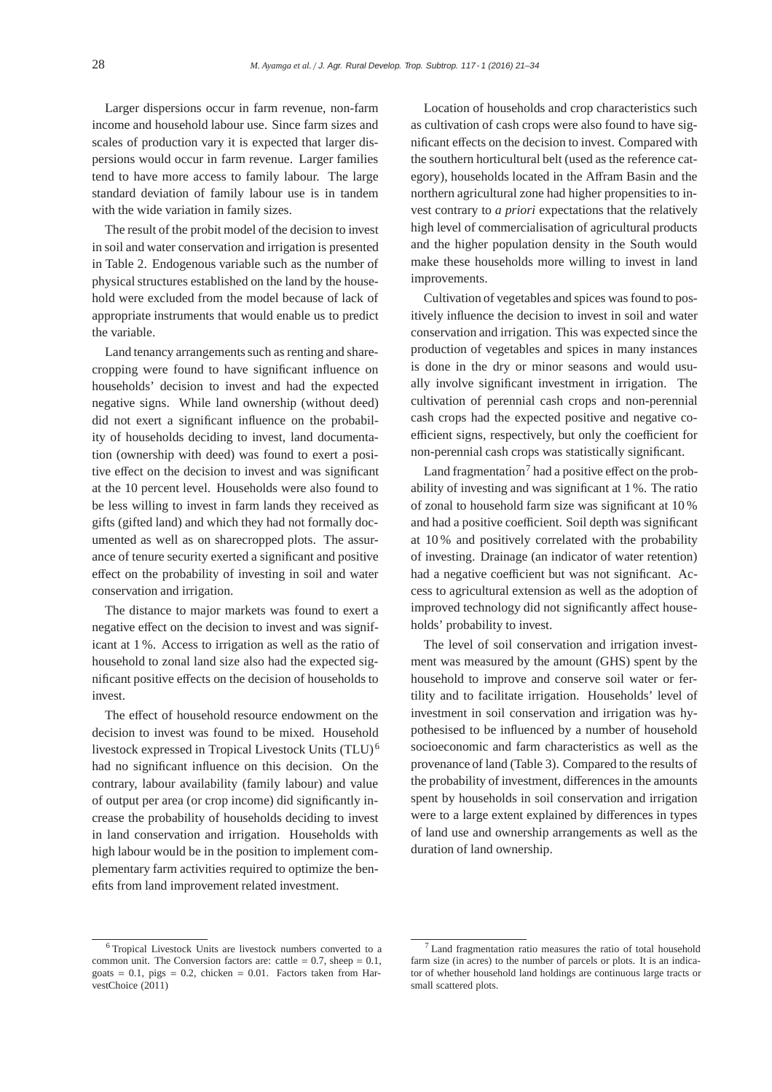Larger dispersions occur in farm revenue, non-farm income and household labour use. Since farm sizes and scales of production vary it is expected that larger dispersions would occur in farm revenue. Larger families tend to have more access to family labour. The large standard deviation of family labour use is in tandem with the wide variation in family sizes.

The result of the probit model of the decision to invest in soil and water conservation and irrigation is presented in Table 2. Endogenous variable such as the number of physical structures established on the land by the household were excluded from the model because of lack of appropriate instruments that would enable us to predict the variable.

Land tenancy arrangements such as renting and sharecropping were found to have significant influence on households' decision to invest and had the expected negative signs. While land ownership (without deed) did not exert a significant influence on the probability of households deciding to invest, land documentation (ownership with deed) was found to exert a positive effect on the decision to invest and was significant at the 10 percent level. Households were also found to be less willing to invest in farm lands they received as gifts (gifted land) and which they had not formally documented as well as on sharecropped plots. The assurance of tenure security exerted a significant and positive effect on the probability of investing in soil and water conservation and irrigation.

The distance to major markets was found to exert a negative effect on the decision to invest and was significant at 1 %. Access to irrigation as well as the ratio of household to zonal land size also had the expected significant positive effects on the decision of households to invest.

The effect of household resource endowment on the decision to invest was found to be mixed. Household livestock expressed in Tropical Livestock Units (TLU) <sup>6</sup> had no significant influence on this decision. On the contrary, labour availability (family labour) and value of output per area (or crop income) did significantly increase the probability of households deciding to invest in land conservation and irrigation. Households with high labour would be in the position to implement complementary farm activities required to optimize the benefits from land improvement related investment.

Location of households and crop characteristics such as cultivation of cash crops were also found to have significant effects on the decision to invest. Compared with the southern horticultural belt (used as the reference category), households located in the Affram Basin and the northern agricultural zone had higher propensities to invest contrary to *a priori* expectations that the relatively high level of commercialisation of agricultural products and the higher population density in the South would make these households more willing to invest in land improvements.

Cultivation of vegetables and spices was found to positively influence the decision to invest in soil and water conservation and irrigation. This was expected since the production of vegetables and spices in many instances is done in the dry or minor seasons and would usually involve significant investment in irrigation. The cultivation of perennial cash crops and non-perennial cash crops had the expected positive and negative coefficient signs, respectively, but only the coefficient for non-perennial cash crops was statistically significant.

Land fragmentation<sup>7</sup> had a positive effect on the probability of investing and was significant at 1 %. The ratio of zonal to household farm size was significant at 10 % and had a positive coefficient. Soil depth was significant at 10 % and positively correlated with the probability of investing. Drainage (an indicator of water retention) had a negative coefficient but was not significant. Access to agricultural extension as well as the adoption of improved technology did not significantly affect households' probability to invest.

The level of soil conservation and irrigation investment was measured by the amount (GHS) spent by the household to improve and conserve soil water or fertility and to facilitate irrigation. Households' level of investment in soil conservation and irrigation was hypothesised to be influenced by a number of household socioeconomic and farm characteristics as well as the provenance of land (Table 3). Compared to the results of the probability of investment, differences in the amounts spent by households in soil conservation and irrigation were to a large extent explained by differences in types of land use and ownership arrangements as well as the duration of land ownership.

<sup>6</sup> Tropical Livestock Units are livestock numbers converted to a common unit. The Conversion factors are: cattle  $= 0.7$ , sheep  $= 0.1$ , goats =  $0.1$ , pigs =  $0.2$ , chicken =  $0.01$ . Factors taken from HarvestChoice (2011)

 $7$  Land fragmentation ratio measures the ratio of total household farm size (in acres) to the number of parcels or plots. It is an indicator of whether household land holdings are continuous large tracts or small scattered plots.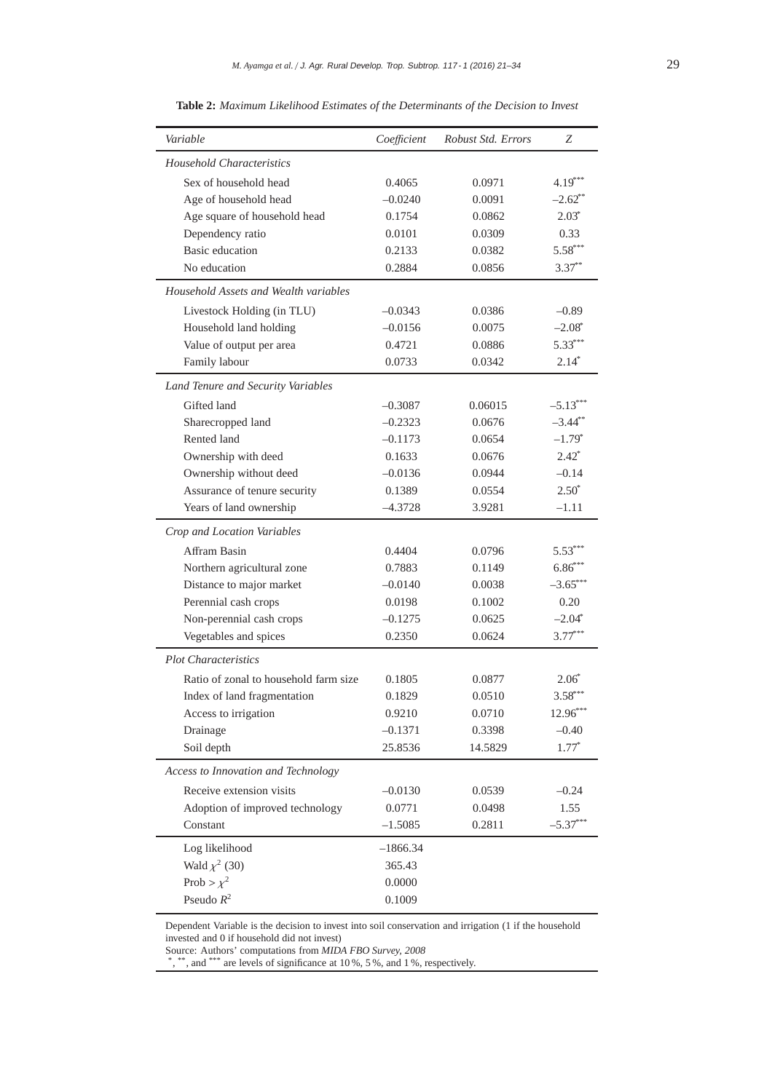| Variable                              | Coefficient | Robust Std. Errors | Z                     |
|---------------------------------------|-------------|--------------------|-----------------------|
| <b>Household Characteristics</b>      |             |                    |                       |
| Sex of household head                 | 0.4065      | 0.0971             | $4.19***$             |
| Age of household head                 | $-0.0240$   | 0.0091             | $-2.62$ **            |
| Age square of household head          | 0.1754      | 0.0862             | $2.03^*$              |
| Dependency ratio                      | 0.0101      | 0.0309             | 0.33                  |
| <b>Basic</b> education                | 0.2133      | 0.0382             | $5.58***$             |
| No education                          | 0.2884      | 0.0856             | $3.37***$             |
| Household Assets and Wealth variables |             |                    |                       |
| Livestock Holding (in TLU)            | $-0.0343$   | 0.0386             | $-0.89$               |
| Household land holding                | $-0.0156$   | 0.0075             | $-2.08^*$             |
| Value of output per area              | 0.4721      | 0.0886             | $5.33***$             |
| Family labour                         | 0.0733      | 0.0342             | $2.14*$               |
| Land Tenure and Security Variables    |             |                    |                       |
| Gifted land                           | $-0.3087$   | 0.06015            | $-5.13***$            |
| Sharecropped land                     | $-0.2323$   | 0.0676             | $-3.44$ <sup>**</sup> |
| Rented land                           | $-0.1173$   | 0.0654             | $-1.79*$              |
| Ownership with deed                   | 0.1633      | 0.0676             | $2.42^*$              |
| Ownership without deed                | $-0.0136$   | 0.0944             | $-0.14$               |
| Assurance of tenure security          | 0.1389      | 0.0554             | $2.50^*$              |
| Years of land ownership               | $-4.3728$   | 3.9281             | $-1.11$               |
| Crop and Location Variables           |             |                    |                       |
| Affram Basin                          | 0.4404      | 0.0796             | $5.53***$             |
| Northern agricultural zone            | 0.7883      | 0.1149             | $6.86***$             |
| Distance to major market              | $-0.0140$   | 0.0038             | $-3.65***$            |
| Perennial cash crops                  | 0.0198      | 0.1002             | 0.20                  |
| Non-perennial cash crops              | $-0.1275$   | 0.0625             | $-2.04*$              |
| Vegetables and spices                 | 0.2350      | 0.0624             | $3.77***$             |
| <b>Plot Characteristics</b>           |             |                    |                       |
| Ratio of zonal to household farm size | 0.1805      | 0.0877             | $2.06^{\circ}$        |
| Index of land fragmentation           | 0.1829      | 0.0510             | $3.58***$             |
| Access to irrigation                  | 0.9210      | 0.0710             | $12.96***$            |
| Drainage                              | $-0.1371$   | 0.3398             | $-0.40$               |
| Soil depth                            | 25.8536     | 14.5829            | $1.77*$               |
| Access to Innovation and Technology   |             |                    |                       |
| Receive extension visits              | $-0.0130$   | 0.0539             | $-0.24$               |
| Adoption of improved technology       | 0.0771      | 0.0498             | 1.55                  |
| Constant                              | $-1.5085$   | 0.2811             | $-5.37***$            |
| Log likelihood                        | $-1866.34$  |                    |                       |
| Wald $\chi^2$ (30)                    | 365.43      |                    |                       |
| Prob > $\chi^2$                       | 0.0000      |                    |                       |
| Pseudo $R^2$                          | 0.1009      |                    |                       |

**Table 2:** *Maximum Likelihood Estimates of the Determinants of the Decision to Invest*

Dependent Variable is the decision to invest into soil conservation and irrigation (1 if the household invested and 0 if household did not invest)

\*, \*\*, and \*\*\* are levels of significance at 10 %, 5 %, and 1 %, respectively.

Source: Authors' computations from *MIDA FBO Survey, 2008*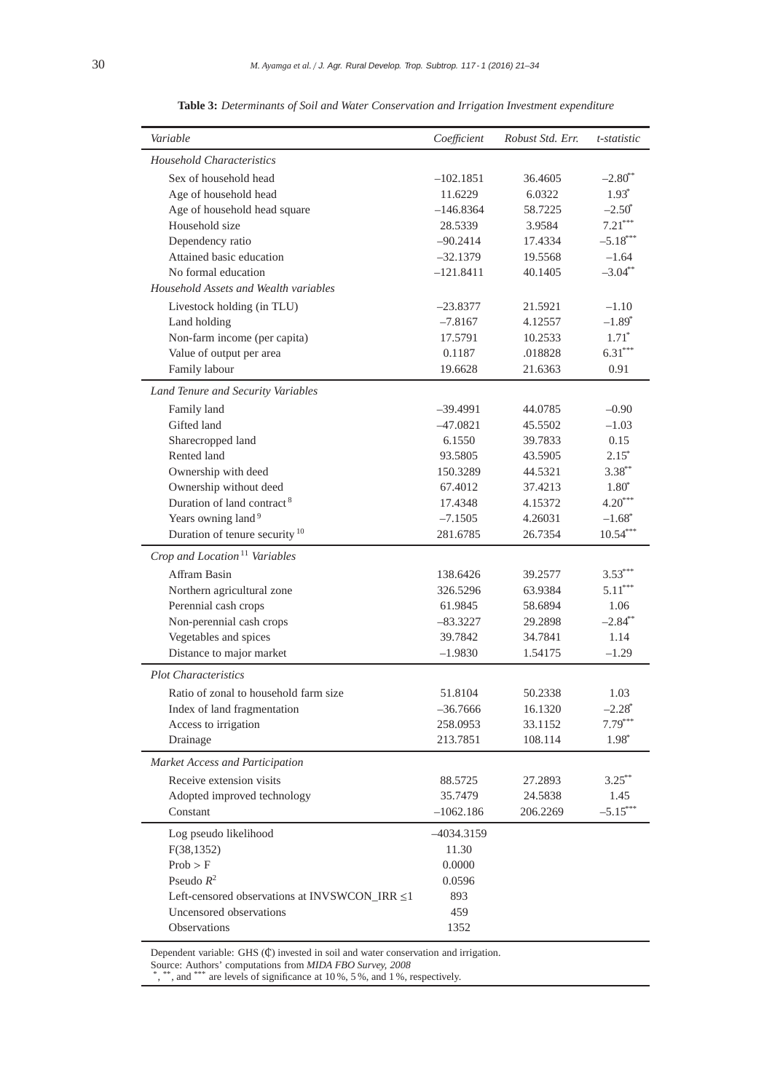| Variable                                      | Coefficient  | Robust Std. Err. | t-statistic                        |
|-----------------------------------------------|--------------|------------------|------------------------------------|
| Household Characteristics                     |              |                  |                                    |
| Sex of household head                         | $-102.1851$  | 36.4605          | $-2.80$ <sup>**</sup>              |
| Age of household head                         | 11.6229      | 6.0322           | $1.93*$                            |
| Age of household head square                  | $-146.8364$  | 58.7225          | $-2.50^*$                          |
| Household size                                | 28.5339      | 3.9584           | $7.21***$                          |
| Dependency ratio                              | $-90.2414$   | 17.4334          | $-5.18***$                         |
| Attained basic education                      | $-32.1379$   | 19.5568          | $-1.64$                            |
| No formal education                           | $-121.8411$  | 40.1405          | $-3.04**$                          |
| Household Assets and Wealth variables         |              |                  |                                    |
| Livestock holding (in TLU)                    | $-23.8377$   | 21.5921          | $-1.10$                            |
| Land holding                                  | $-7.8167$    | 4.12557          | $-1.89*$                           |
| Non-farm income (per capita)                  | 17.5791      | 10.2533          | $1.71^*$                           |
| Value of output per area                      | 0.1187       | .018828          | $6.31***$                          |
| Family labour                                 | 19.6628      | 21.6363          | 0.91                               |
| Land Tenure and Security Variables            |              |                  |                                    |
| Family land                                   | -39.4991     | 44.0785          | $-0.90$                            |
| Gifted land                                   | $-47.0821$   | 45.5502          | $-1.03$                            |
| Sharecropped land                             | 6.1550       | 39.7833          | 0.15                               |
| Rented land                                   | 93.5805      | 43.5905          | $2.15^*$                           |
| Ownership with deed                           | 150.3289     | 44.5321          | $3.38***$                          |
|                                               | 67.4012      | 37.4213          |                                    |
| Ownership without deed                        |              |                  | $1.80*$                            |
| Duration of land contract <sup>8</sup>        | 17.4348      | 4.15372          | $4.20***$                          |
| Years owning land <sup>9</sup>                | $-7.1505$    | 4.26031          | $-1.68$ <sup>*</sup><br>$10.54***$ |
| Duration of tenure security <sup>10</sup>     | 281.6785     | 26.7354          |                                    |
| Crop and Location <sup>11</sup> Variables     |              |                  |                                    |
| Affram Basin                                  | 138.6426     | 39.2577          | $3.53***$                          |
| Northern agricultural zone                    | 326.5296     | 63.9384          | $5.11***$                          |
| Perennial cash crops                          | 61.9845      | 58.6894          | 1.06                               |
| Non-perennial cash crops                      | $-83.3227$   | 29.2898          | $-2.84$ **                         |
| Vegetables and spices                         | 39.7842      | 34.7841          | 1.14                               |
| Distance to major market                      | $-1.9830$    | 1.54175          | $-1.29$                            |
| <b>Plot Characteristics</b>                   |              |                  |                                    |
| Ratio of zonal to household farm size         | 51.8104      | 50.2338          | 1.03                               |
| Index of land fragmentation                   | $-36.7666$   | 16.1320          | $-2.28$ <sup>*</sup>               |
| Access to irrigation                          | 258.0953     | 33.1152          | $7.79***$                          |
| Drainage                                      | 213.7851     | 108.114          | 1.98*                              |
| Market Access and Participation               |              |                  |                                    |
| Receive extension visits                      | 88.5725      | 27.2893          | $3.25***$                          |
| Adopted improved technology                   | 35.7479      | 24.5838          | 1.45                               |
| Constant                                      | $-1062.186$  | 206.2269         | $-5.15***$                         |
|                                               |              |                  |                                    |
| Log pseudo likelihood                         | $-4034.3159$ |                  |                                    |
| F(38, 1352)                                   | 11.30        |                  |                                    |
| Prob > F                                      | 0.0000       |                  |                                    |
| Pseudo $R^2$                                  | 0.0596       |                  |                                    |
| Left-censored observations at INVSWCON_IRR ≤1 | 893          |                  |                                    |
| Uncensored observations                       | 459          |                  |                                    |
| Observations                                  | 1352         |                  |                                    |

**Table 3:** *Determinants of Soil and Water Conservation and Irrigation Investment expenditure*

Dependent variable: GHS (₡) invested in soil and water conservation and irrigation.

Source: Authors' computations from *MIDA FBO Survey, 2008*<br>\*, \*\*, and \*\*\* are levels of significance at 10 %, 5 %, and 1 %, respectively.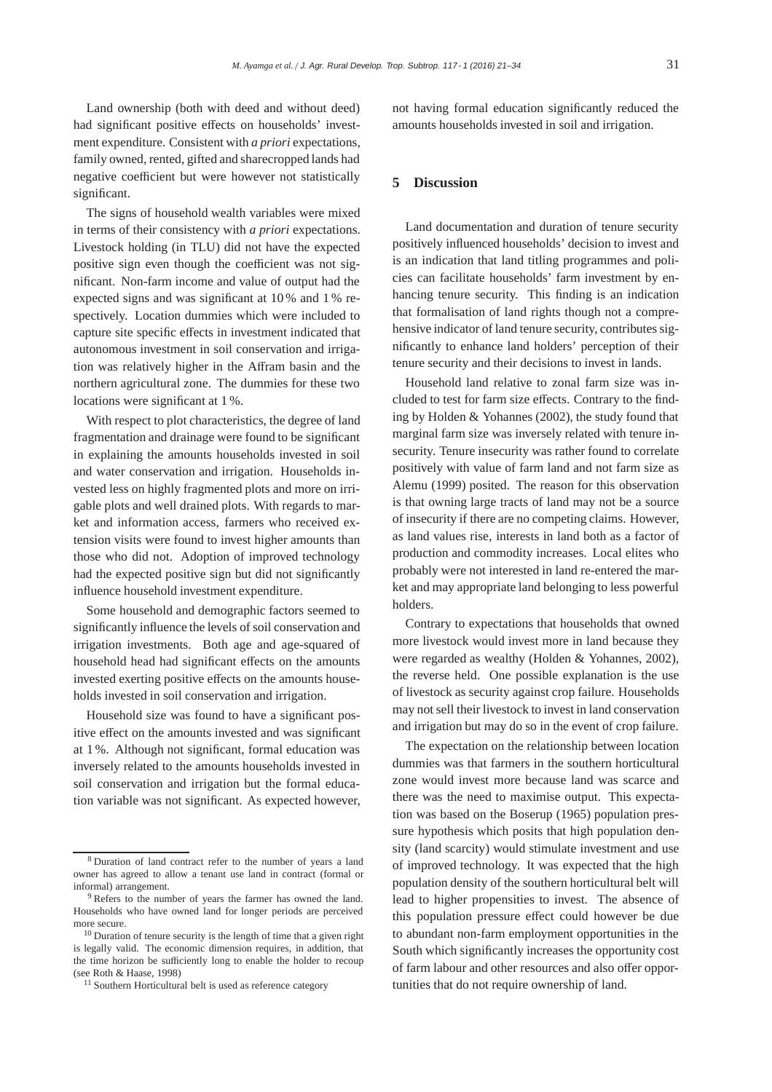Land ownership (both with deed and without deed) had significant positive effects on households' investment expenditure. Consistent with *a priori* expectations, family owned, rented, gifted and sharecropped lands had negative coefficient but were however not statistically significant.

The signs of household wealth variables were mixed in terms of their consistency with *a priori* expectations. Livestock holding (in TLU) did not have the expected positive sign even though the coefficient was not significant. Non-farm income and value of output had the expected signs and was significant at 10 % and 1 % respectively. Location dummies which were included to capture site specific effects in investment indicated that autonomous investment in soil conservation and irrigation was relatively higher in the Affram basin and the northern agricultural zone. The dummies for these two locations were significant at 1 %.

With respect to plot characteristics, the degree of land fragmentation and drainage were found to be significant in explaining the amounts households invested in soil and water conservation and irrigation. Households invested less on highly fragmented plots and more on irrigable plots and well drained plots. With regards to market and information access, farmers who received extension visits were found to invest higher amounts than those who did not. Adoption of improved technology had the expected positive sign but did not significantly influence household investment expenditure.

Some household and demographic factors seemed to significantly influence the levels of soil conservation and irrigation investments. Both age and age-squared of household head had significant effects on the amounts invested exerting positive effects on the amounts households invested in soil conservation and irrigation.

Household size was found to have a significant positive effect on the amounts invested and was significant at 1 %. Although not significant, formal education was inversely related to the amounts households invested in soil conservation and irrigation but the formal education variable was not significant. As expected however, not having formal education significantly reduced the amounts households invested in soil and irrigation.

### **5 Discussion**

Land documentation and duration of tenure security positively influenced households' decision to invest and is an indication that land titling programmes and policies can facilitate households' farm investment by enhancing tenure security. This finding is an indication that formalisation of land rights though not a comprehensive indicator of land tenure security, contributes significantly to enhance land holders' perception of their tenure security and their decisions to invest in lands.

Household land relative to zonal farm size was included to test for farm size effects. Contrary to the finding by Holden & Yohannes (2002), the study found that marginal farm size was inversely related with tenure insecurity. Tenure insecurity was rather found to correlate positively with value of farm land and not farm size as Alemu (1999) posited. The reason for this observation is that owning large tracts of land may not be a source of insecurity if there are no competing claims. However, as land values rise, interests in land both as a factor of production and commodity increases. Local elites who probably were not interested in land re-entered the market and may appropriate land belonging to less powerful holders.

Contrary to expectations that households that owned more livestock would invest more in land because they were regarded as wealthy (Holden & Yohannes, 2002), the reverse held. One possible explanation is the use of livestock as security against crop failure. Households may not sell their livestock to invest in land conservation and irrigation but may do so in the event of crop failure.

The expectation on the relationship between location dummies was that farmers in the southern horticultural zone would invest more because land was scarce and there was the need to maximise output. This expectation was based on the Boserup (1965) population pressure hypothesis which posits that high population density (land scarcity) would stimulate investment and use of improved technology. It was expected that the high population density of the southern horticultural belt will lead to higher propensities to invest. The absence of this population pressure effect could however be due to abundant non-farm employment opportunities in the South which significantly increases the opportunity cost of farm labour and other resources and also offer opportunities that do not require ownership of land.

<sup>8</sup> Duration of land contract refer to the number of years a land owner has agreed to allow a tenant use land in contract (formal or informal) arrangement.

<sup>&</sup>lt;sup>9</sup> Refers to the number of years the farmer has owned the land. Households who have owned land for longer periods are perceived more secure.

<sup>&</sup>lt;sup>10</sup> Duration of tenure security is the length of time that a given right is legally valid. The economic dimension requires, in addition, that the time horizon be sufficiently long to enable the holder to recoup (see Roth & Haase, 1998)

<sup>&</sup>lt;sup>11</sup> Southern Horticultural belt is used as reference category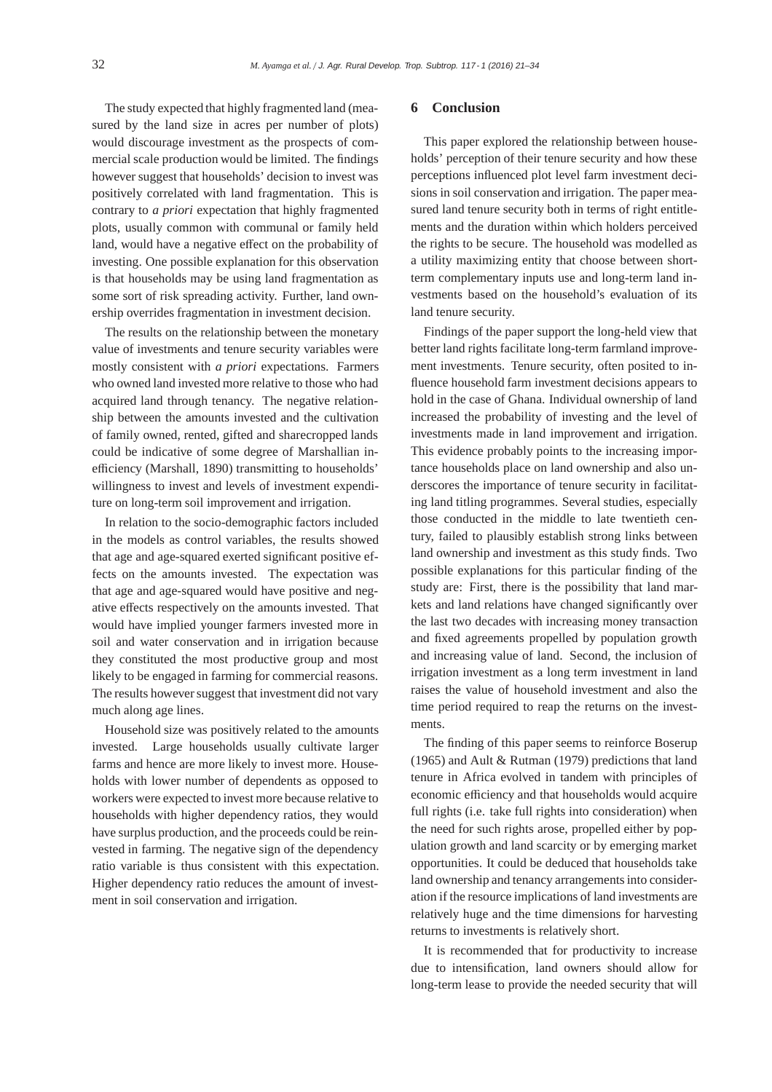The study expected that highly fragmented land (measured by the land size in acres per number of plots) would discourage investment as the prospects of commercial scale production would be limited. The findings however suggest that households' decision to invest was positively correlated with land fragmentation. This is contrary to *a priori* expectation that highly fragmented plots, usually common with communal or family held land, would have a negative effect on the probability of investing. One possible explanation for this observation is that households may be using land fragmentation as some sort of risk spreading activity. Further, land ownership overrides fragmentation in investment decision.

The results on the relationship between the monetary value of investments and tenure security variables were mostly consistent with *a priori* expectations. Farmers who owned land invested more relative to those who had acquired land through tenancy. The negative relationship between the amounts invested and the cultivation of family owned, rented, gifted and sharecropped lands could be indicative of some degree of Marshallian inefficiency (Marshall, 1890) transmitting to households' willingness to invest and levels of investment expenditure on long-term soil improvement and irrigation.

In relation to the socio-demographic factors included in the models as control variables, the results showed that age and age-squared exerted significant positive effects on the amounts invested. The expectation was that age and age-squared would have positive and negative effects respectively on the amounts invested. That would have implied younger farmers invested more in soil and water conservation and in irrigation because they constituted the most productive group and most likely to be engaged in farming for commercial reasons. The results however suggest that investment did not vary much along age lines.

Household size was positively related to the amounts invested. Large households usually cultivate larger farms and hence are more likely to invest more. Households with lower number of dependents as opposed to workers were expected to invest more because relative to households with higher dependency ratios, they would have surplus production, and the proceeds could be reinvested in farming. The negative sign of the dependency ratio variable is thus consistent with this expectation. Higher dependency ratio reduces the amount of investment in soil conservation and irrigation.

#### **6 Conclusion**

This paper explored the relationship between households' perception of their tenure security and how these perceptions influenced plot level farm investment decisions in soil conservation and irrigation. The paper measured land tenure security both in terms of right entitlements and the duration within which holders perceived the rights to be secure. The household was modelled as a utility maximizing entity that choose between shortterm complementary inputs use and long-term land investments based on the household's evaluation of its land tenure security.

Findings of the paper support the long-held view that better land rights facilitate long-term farmland improvement investments. Tenure security, often posited to influence household farm investment decisions appears to hold in the case of Ghana. Individual ownership of land increased the probability of investing and the level of investments made in land improvement and irrigation. This evidence probably points to the increasing importance households place on land ownership and also underscores the importance of tenure security in facilitating land titling programmes. Several studies, especially those conducted in the middle to late twentieth century, failed to plausibly establish strong links between land ownership and investment as this study finds. Two possible explanations for this particular finding of the study are: First, there is the possibility that land markets and land relations have changed significantly over the last two decades with increasing money transaction and fixed agreements propelled by population growth and increasing value of land. Second, the inclusion of irrigation investment as a long term investment in land raises the value of household investment and also the time period required to reap the returns on the investments.

The finding of this paper seems to reinforce Boserup (1965) and Ault & Rutman (1979) predictions that land tenure in Africa evolved in tandem with principles of economic efficiency and that households would acquire full rights (i.e. take full rights into consideration) when the need for such rights arose, propelled either by population growth and land scarcity or by emerging market opportunities. It could be deduced that households take land ownership and tenancy arrangements into consideration if the resource implications of land investments are relatively huge and the time dimensions for harvesting returns to investments is relatively short.

It is recommended that for productivity to increase due to intensification, land owners should allow for long-term lease to provide the needed security that will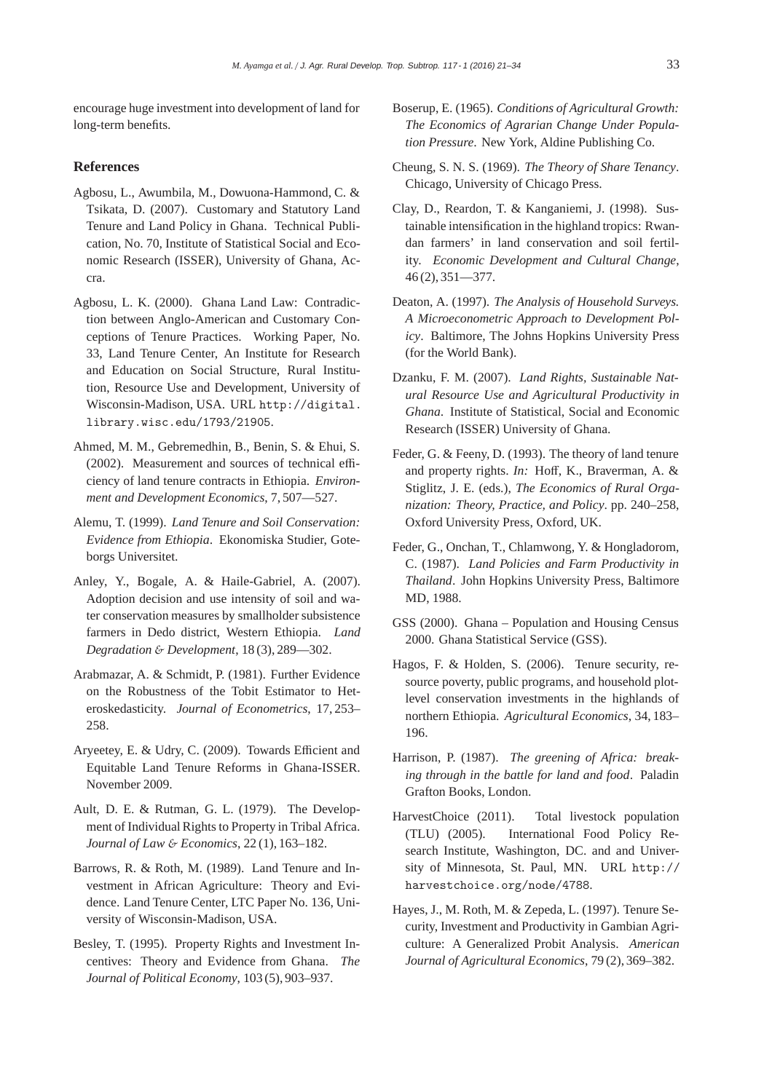encourage huge investment into development of land for long-term benefits.

#### **References**

- Agbosu, L., Awumbila, M., Dowuona-Hammond, C. & Tsikata, D. (2007). Customary and Statutory Land Tenure and Land Policy in Ghana. Technical Publication, No. 70, Institute of Statistical Social and Economic Research (ISSER), University of Ghana, Accra.
- Agbosu, L. K. (2000). Ghana Land Law: Contradiction between Anglo-American and Customary Conceptions of Tenure Practices. Working Paper, No. 33, Land Tenure Center, An Institute for Research and Education on Social Structure, Rural Institution, Resource Use and Development, University of Wisconsin-Madison, USA. URL http://digital. library.wisc.edu/1793/21905.
- Ahmed, M. M., Gebremedhin, B., Benin, S. & Ehui, S. (2002). Measurement and sources of technical efficiency of land tenure contracts in Ethiopia. *Environment and Development Economics*, 7, 507—527.
- Alemu, T. (1999). *Land Tenure and Soil Conservation: Evidence from Ethiopia*. Ekonomiska Studier, Goteborgs Universitet.
- Anley, Y., Bogale, A. & Haile-Gabriel, A. (2007). Adoption decision and use intensity of soil and water conservation measures by smallholder subsistence farmers in Dedo district, Western Ethiopia. *Land Degradation* & *Development*, 18 (3), 289—302.
- Arabmazar, A. & Schmidt, P. (1981). Further Evidence on the Robustness of the Tobit Estimator to Heteroskedasticity. *Journal of Econometrics*, 17, 253– 258.
- Aryeetey, E. & Udry, C. (2009). Towards Efficient and Equitable Land Tenure Reforms in Ghana-ISSER. November 2009.
- Ault, D. E. & Rutman, G. L. (1979). The Development of Individual Rights to Property in Tribal Africa. *Journal of Law* & *Economics*, 22 (1), 163–182.
- Barrows, R. & Roth, M. (1989). Land Tenure and Investment in African Agriculture: Theory and Evidence. Land Tenure Center, LTC Paper No. 136, University of Wisconsin-Madison, USA.
- Besley, T. (1995). Property Rights and Investment Incentives: Theory and Evidence from Ghana. *The Journal of Political Economy*, 103 (5), 903–937.
- Boserup, E. (1965). *Conditions of Agricultural Growth: The Economics of Agrarian Change Under Population Pressure*. New York, Aldine Publishing Co.
- Cheung, S. N. S. (1969). *The Theory of Share Tenancy*. Chicago, University of Chicago Press.
- Clay, D., Reardon, T. & Kanganiemi, J. (1998). Sustainable intensification in the highland tropics: Rwandan farmers' in land conservation and soil fertility. *Economic Development and Cultural Change*, 46 (2), 351—377.
- Deaton, A. (1997). *The Analysis of Household Surveys. A Microeconometric Approach to Development Policy*. Baltimore, The Johns Hopkins University Press (for the World Bank).
- Dzanku, F. M. (2007). *Land Rights, Sustainable Natural Resource Use and Agricultural Productivity in Ghana*. Institute of Statistical, Social and Economic Research (ISSER) University of Ghana.
- Feder, G. & Feeny, D. (1993). The theory of land tenure and property rights. *In:* Hoff, K., Braverman, A. & Stiglitz, J. E. (eds.), *The Economics of Rural Organization: Theory, Practice, and Policy*. pp. 240–258, Oxford University Press, Oxford, UK.
- Feder, G., Onchan, T., Chlamwong, Y. & Hongladorom, C. (1987). *Land Policies and Farm Productivity in Thailand*. John Hopkins University Press, Baltimore MD, 1988.
- GSS (2000). Ghana Population and Housing Census 2000. Ghana Statistical Service (GSS).
- Hagos, F. & Holden, S. (2006). Tenure security, resource poverty, public programs, and household plotlevel conservation investments in the highlands of northern Ethiopia. *Agricultural Economics*, 34, 183– 196.
- Harrison, P. (1987). *The greening of Africa: breaking through in the battle for land and food*. Paladin Grafton Books, London.
- HarvestChoice (2011). Total livestock population (TLU) (2005). International Food Policy Research Institute, Washington, DC. and and University of Minnesota, St. Paul, MN. URL http:// harvestchoice.org/node/4788.
- Hayes, J., M. Roth, M. & Zepeda, L. (1997). Tenure Security, Investment and Productivity in Gambian Agriculture: A Generalized Probit Analysis. *American Journal of Agricultural Economics*, 79 (2), 369–382.